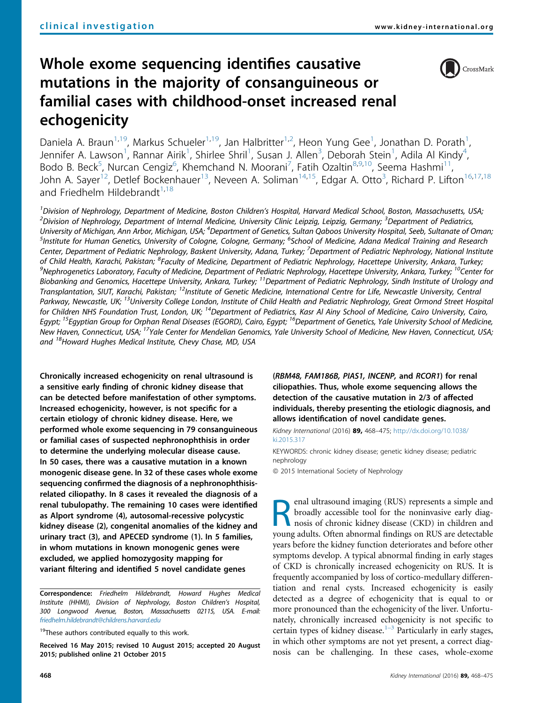# Whole exome sequencing identifies causative mutations in the majority of consanguineous or familial cases with childhood-onset increased renal echogenicity



Daniela A. Braun<sup>1,19</sup>, Markus Schueler<sup>1,19</sup>, Jan Halbritter<sup>1,2</sup>, Heon Yung Gee<sup>1</sup>, Jonathan D. Porath<sup>1</sup> , Jennifer A. Lawson<sup>1</sup>, Rannar Airik<sup>1</sup>, Shirlee Shril<sup>1</sup>, Susan J. Allen<sup>3</sup>, Deborah Stein<sup>1</sup>, Adila Al Kindy<sup>4</sup> , Bodo B. Beck<sup>5</sup>, Nurcan Cengiz<sup>6</sup>, Khemchand N. Moorani<sup>7</sup>, Fatih Ozaltin<sup>8,9,10</sup>, Seema Hashmi<sup>11</sup>, John A. Sayer<sup>12</sup>, Detlef Bockenhauer<sup>13</sup>, Neveen A. Soliman<sup>14,15</sup>, Edgar A. Otto<sup>3</sup>, Richard P. Lifton<sup>16,17,18</sup> and Friedhelm Hildebrandt $1,18$ 

<sup>1</sup> Division of Nephrology, Department of Medicine, Boston Children's Hospital, Harvard Medical School, Boston, Massachusetts, USA;<br><sup>2</sup> Division of Nephrology, Department of Internal Medicine, University Clinic Leinzie, Le Division of Nephrology, Department of Internal Medicine, University Clinic Leipzig, Leipzig, Germany; <sup>3</sup>Department of Pediatrics, University of Michigan, Ann Arbor, Michigan, USA; <sup>4</sup>Department of Genetics, Sultan Qaboos University Hospital, Seeb, Sultanate of Oman;<br><sup>5</sup>Institute for Human Genetics, University of Cologne, Cologne, Germany: <sup>6</sup>School o Institute for Human Genetics, University of Cologne, Cologne, Germany; <sup>6</sup>School of Medicine, Adana Medical Training and Research Center, Department of Pediatric Nephrology, Baskent University, Adana, Turkey; <sup>7</sup>Department of Pediatric Nephrology, National Institute of Child Health, Karachi, Pakistan; <sup>8</sup>Faculty of Medicine, Department of Pediatric Nephrology, Hacettepe University, Ankara, Turkey;<br><sup>9</sup>Nephrogenetics Laboratory Faculty of Medicine, Department of Pediatric Nephrology, Ha  $^9$ Nephrogenetics Laboratory, Faculty of Medicine, Department of Pediatric Nephrology, Hacettepe University, Ankara, Turkey;  $^{10}$ Center for Biobanking and Genomics, Hacettepe University, Ankara, Turkey; <sup>11</sup>Department of Pediatric Nephrology, Sindh Institute of Urology and Transplantation, SIUT, Karachi, Pakistan; <sup>12</sup>Institute of Genetic Medicine, International Centre for Life, Newcastle University, Central Parkway, Newcastle, UK; <sup>13</sup>University College London, Institute of Child Health and Pediatric Nephrology, Great Ormond Street Hospital for Children NHS Foundation Trust, London, UK; <sup>14</sup>Department of Pediatrics, Kasr Al Ainy School of Medicine, Cairo University, Cairo, Egypt; <sup>15</sup>Egyptian Group for Orphan Renal Diseases (EGORD), Cairo, Egypt; <sup>16</sup>Department of Genetics, Yale University School of Medicine, New Haven, Connecticut, USA; <sup>17</sup>Yale Center for Mendelian Genomics, Yale University School of Medicine, New Haven, Connecticut, USA; and <sup>18</sup>Howard Hughes Medical Institute, Chevy Chase, MD, USA

Chronically increased echogenicity on renal ultrasound is a sensitive early finding of chronic kidney disease that can be detected before manifestation of other symptoms. Increased echogenicity, however, is not specific for a certain etiology of chronic kidney disease. Here, we performed whole exome sequencing in 79 consanguineous or familial cases of suspected nephronophthisis in order to determine the underlying molecular disease cause. In 50 cases, there was a causative mutation in a known monogenic disease gene. In 32 of these cases whole exome sequencing confirmed the diagnosis of a nephronophthisisrelated ciliopathy. In 8 cases it revealed the diagnosis of a renal tubulopathy. The remaining 10 cases were identified as Alport syndrome (4), autosomal-recessive polycystic kidney disease (2), congenital anomalies of the kidney and urinary tract (3), and APECED syndrome (1). In 5 families, in whom mutations in known monogenic genes were excluded, we applied homozygosity mapping for variant filtering and identified 5 novel candidate genes

Correspondence: Friedhelm Hildebrandt, Howard Hughes Medical Institute (HHMI), Division of Nephrology, Boston Children's Hospital, 300 Longwood Avenue, Boston, Massachusetts 02115, USA. E-mail: [friedhelm.hildebrandt@childrens.harvard.edu](mailto:friedhelm.hildebrandt@childrens.harvard.edu)

 $19$ These authors contributed equally to this work.

Received 16 May 2015; revised 10 August 2015; accepted 20 August 2015; published online 21 October 2015

(RBM48, FAM186B, PIAS1, INCENP, and RCOR1) for renal ciliopathies. Thus, whole exome sequencing allows the detection of the causative mutation in 2/3 of affected individuals, thereby presenting the etiologic diagnosis, and allows identification of novel candidate genes.

Kidney International (2016) 89, 468-475; [http://dx.doi.org/10.1038/](http://dx.doi.org/10.1038/ki.2015.317) ki 2015 317

KEYWORDS: chronic kidney disease; genetic kidney disease; pediatric nephrology

ª 2015 International Society of Nephrology

**Renaudition** imaging (RUS) represents a simple and broadly accessible tool for the noninvasive early diagnosis of chronic kidney disease (CKD) in children and voung adults. Often abnormal findings on BHS are detectable broadly accessible tool for the noninvasive early diagnosis of chronic kidney disease (CKD) in children and young adults. Often abnormal findings on RUS are detectable years before the kidney function deteriorates and before other symptoms develop. A typical abnormal finding in early stages of CKD is chronically increased echogenicity on RUS. It is frequently accompanied by loss of cortico-medullary differentiation and renal cysts. Increased echogenicity is easily detected as a degree of echogenicity that is equal to or more pronounced than the echogenicity of the liver. Unfortunately, chronically increased echogenicity is not specific to certain types of kidney disease.<sup>1[–](#page-6-0)3</sup> Particularly in early stages, in which other symptoms are not yet present, a correct diagnosis can be challenging. In these cases, whole-exome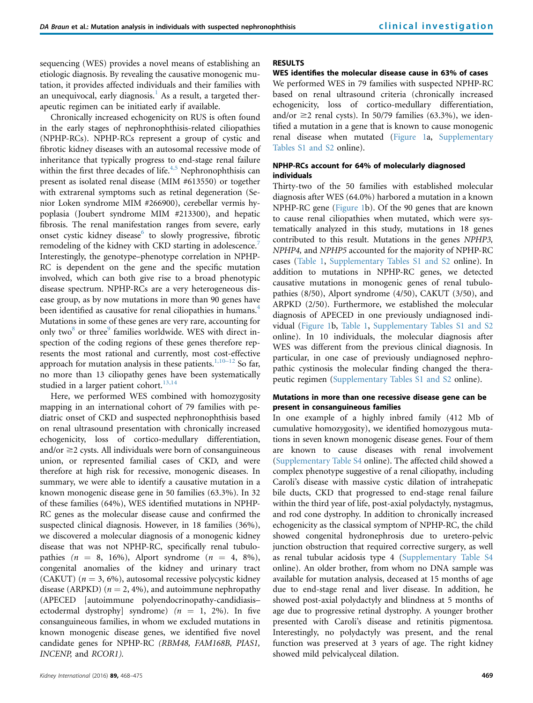sequencing (WES) provides a novel means of establishing an etiologic diagnosis. By revealing the causative monogenic mutation, it provides affected individuals and their families with an unequivocal, early diagnosis.<sup>[1](#page-6-0)</sup> As a result, a targeted therapeutic regimen can be initiated early if available.

Chronically increased echogenicity on RUS is often found in the early stages of nephronophthisis-related ciliopathies (NPHP-RCs). NPHP-RCs represent a group of cystic and fibrotic kidney diseases with an autosomal recessive mode of inheritance that typically progress to end-stage renal failure within the first three decades of life. $4,5$  Nephronophthisis can present as isolated renal disease (MIM #613550) or together with extrarenal symptoms such as retinal degeneration (Senior Loken syndrome MIM #266900), cerebellar vermis hypoplasia (Joubert syndrome MIM #213300), and hepatic fibrosis. The renal manifestation ranges from severe, early onset cystic kidney disease $<sup>6</sup>$  $<sup>6</sup>$  $<sup>6</sup>$  to slowly progressive, fibrotic</sup> remodeling of the kidney with CKD starting in adolescence.<sup>7</sup> Interestingly, the genotype–phenotype correlation in NPHP-RC is dependent on the gene and the specific mutation involved, which can both give rise to a broad phenotypic disease spectrum. NPHP-RCs are a very heterogeneous disease group, as by now mutations in more than 90 genes have been identified as causative for renal ciliopathies in humans.<sup>4</sup> Mutations in some of these genes are very rare, accounting for only two<sup>8</sup> or three<sup>[9](#page-7-0)</sup> families worldwide. WES with direct inspection of the coding regions of these genes therefore represents the most rational and currently, most cost-effective approach for mutation analysis in these patients. $1,10-12$  $1,10-12$  So far, no more than 13 ciliopathy genes have been systematically studied in a larger patient cohort.<sup>[13,14](#page-7-0)</sup>

Here, we performed WES combined with homozygosity mapping in an international cohort of 79 families with pediatric onset of CKD and suspected nephronophthisis based on renal ultrasound presentation with chronically increased echogenicity, loss of cortico-medullary differentiation, and/or  $\geq$  2 cysts. All individuals were born of consanguineous union, or represented familial cases of CKD, and were therefore at high risk for recessive, monogenic diseases. In summary, we were able to identify a causative mutation in a known monogenic disease gene in 50 families (63.3%). In 32 of these families (64%), WES identified mutations in NPHP-RC genes as the molecular disease cause and confirmed the suspected clinical diagnosis. However, in 18 families (36%), we discovered a molecular diagnosis of a monogenic kidney disease that was not NPHP-RC, specifically renal tubulopathies  $(n = 8, 16\%)$ , Alport syndrome  $(n = 4, 8\%)$ , congenital anomalies of the kidney and urinary tract (CAKUT) ( $n = 3, 6\%$ ), autosomal recessive polycystic kidney disease (ARPKD) ( $n = 2, 4\%$ ), and autoimmune nephropathy (APECED [autoimmune polyendocrinopathy-candidiasis– ectodermal dystrophy] syndrome)  $(n = 1, 2\%)$ . In five consanguineous families, in whom we excluded mutations in known monogenic disease genes, we identified five novel candidate genes for NPHP-RC (RBM48, FAM168B, PIAS1, INCENP, and RCOR1).

## RESULTS

## WES identifies the molecular disease cause in 63% of cases

We performed WES in 79 families with suspected NPHP-RC based on renal ultrasound criteria (chronically increased echogenicity, loss of cortico-medullary differentiation, and/or  $\geq$  renal cysts). In 50/79 families (63.3%), we identified a mutation in a gene that is known to cause monogenic renal disease when mutated [\(Figure 1](#page-2-0)a, Supplementary Tables S1 and S2 online).

## NPHP-RCs account for 64% of molecularly diagnosed individuals

Thirty-two of the 50 families with established molecular diagnosis after WES (64.0%) harbored a mutation in a known NPHP-RC gene ([Figure 1b](#page-2-0)). Of the 90 genes that are known to cause renal ciliopathies when mutated, which were systematically analyzed in this study, mutations in 18 genes contributed to this result. Mutations in the genes NPHP3, NPHP4, and NPHP5 accounted for the majority of NPHP-RC cases [\(Table 1](#page-3-0), Supplementary Tables S1 and S2 online). In addition to mutations in NPHP-RC genes, we detected causative mutations in monogenic genes of renal tubulopathies (8/50), Alport syndrome (4/50), CAKUT (3/50), and ARPKD (2/50). Furthermore, we established the molecular diagnosis of APECED in one previously undiagnosed individual ([Figure 1](#page-2-0)b, [Table 1](#page-3-0), Supplementary Tables S1 and S2 online). In 10 individuals, the molecular diagnosis after WES was different from the previous clinical diagnosis. In particular, in one case of previously undiagnosed nephropathic cystinosis the molecular finding changed the therapeutic regimen (Supplementary Tables S1 and S2 online).

## Mutations in more than one recessive disease gene can be present in consanguineous families

In one example of a highly inbred family (412 Mb of cumulative homozygosity), we identified homozygous mutations in seven known monogenic disease genes. Four of them are known to cause diseases with renal involvement (Supplementary Table S4 online). The affected child showed a complex phenotype suggestive of a renal ciliopathy, including Caroli's disease with massive cystic dilation of intrahepatic bile ducts, CKD that progressed to end-stage renal failure within the third year of life, post-axial polydactyly, nystagmus, and rod cone dystrophy. In addition to chronically increased echogenicity as the classical symptom of NPHP-RC, the child showed congenital hydronephrosis due to uretero-pelvic junction obstruction that required corrective surgery, as well as renal tubular acidosis type 4 (Supplementary Table S4 online). An older brother, from whom no DNA sample was available for mutation analysis, deceased at 15 months of age due to end-stage renal and liver disease. In addition, he showed post-axial polydactyly and blindness at 5 months of age due to progressive retinal dystrophy. A younger brother presented with Caroli's disease and retinitis pigmentosa. Interestingly, no polydactyly was present, and the renal function was preserved at 3 years of age. The right kidney showed mild pelvicalyceal dilation.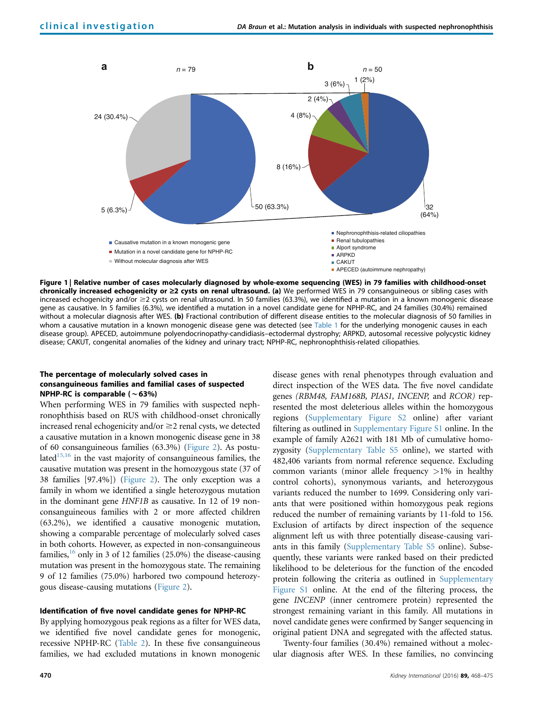<span id="page-2-0"></span>

Figure 1 | Relative number of cases molecularly diagnosed by whole-exome sequencing (WES) in 79 families with childhood-onset chronically increased echogenicity or  $\geq 2$  cysts on renal ultrasound. (a) We performed WES in 79 consanguineous or sibling cases with increased echogenicity and/or  $\geq$  cysts on renal ultrasound. In 50 families (63.3%), we identified a mutation in a known monogenic disease gene as causative. In 5 families (6.3%), we identified a mutation in a novel candidate gene for NPHP-RC, and 24 families (30.4%) remained without a molecular diagnosis after WES. (b) Fractional contribution of different disease entities to the molecular diagnosis of 50 families in whom a causative mutation in a known monogenic disease gene was detected (see [Table 1](#page-3-0) for the underlying monogenic causes in each disease group). APECED, autoimmune polyendocrinopathy-candidiasis–ectodermal dystrophy; ARPKD, autosomal recessive polycystic kidney disease; CAKUT, congenital anomalies of the kidney and urinary tract; NPHP-RC, nephronophthisis-related ciliopathies.

## The percentage of molecularly solved cases in consanguineous families and familial cases of suspected NPHP-RC is comparable  $(\sim 63\%)$

When performing WES in 79 families with suspected nephronophthisis based on RUS with childhood-onset chronically increased renal echogenicity and/or  $\geq$  renal cysts, we detected a causative mutation in a known monogenic disease gene in 38 of 60 consanguineous families (63.3%) [\(Figure 2\)](#page-4-0). As postulated<sup>15,16</sup> in the vast majority of consanguineous families, the causative mutation was present in the homozygous state (37 of 38 families [97.4%]) ([Figure 2\)](#page-4-0). The only exception was a family in whom we identified a single heterozygous mutation in the dominant gene HNF1B as causative. In 12 of 19 nonconsanguineous families with 2 or more affected children (63.2%), we identified a causative monogenic mutation, showing a comparable percentage of molecularly solved cases in both cohorts. However, as expected in non-consanguineous families,  $16$  only in 3 of 12 families (25.0%) the disease-causing mutation was present in the homozygous state. The remaining 9 of 12 families (75.0%) harbored two compound heterozygous disease-causing mutations [\(Figure 2](#page-4-0)).

#### Identification of five novel candidate genes for NPHP-RC

By applying homozygous peak regions as a filter for WES data, we identified five novel candidate genes for monogenic, recessive NPHP-RC ([Table 2\)](#page-4-0). In these five consanguineous families, we had excluded mutations in known monogenic

disease genes with renal phenotypes through evaluation and direct inspection of the WES data. The five novel candidate genes (RBM48, FAM168B, PIAS1, INCENP, and RCOR) represented the most deleterious alleles within the homozygous regions (Supplementary Figure S2 online) after variant filtering as outlined in Supplementary Figure S1 online. In the example of family A2621 with 181 Mb of cumulative homozygosity (Supplementary Table S5 online), we started with 482,406 variants from normal reference sequence. Excluding common variants (minor allele frequency  $>1\%$  in healthy control cohorts), synonymous variants, and heterozygous variants reduced the number to 1699. Considering only variants that were positioned within homozygous peak regions reduced the number of remaining variants by 11-fold to 156. Exclusion of artifacts by direct inspection of the sequence alignment left us with three potentially disease-causing variants in this family (Supplementary Table S5 online). Subsequently, these variants were ranked based on their predicted likelihood to be deleterious for the function of the encoded protein following the criteria as outlined in Supplementary Figure S1 online. At the end of the filtering process, the gene INCENP (inner centromere protein) represented the strongest remaining variant in this family. All mutations in novel candidate genes were confirmed by Sanger sequencing in original patient DNA and segregated with the affected status.

Twenty-four families (30.4%) remained without a molecular diagnosis after WES. In these families, no convincing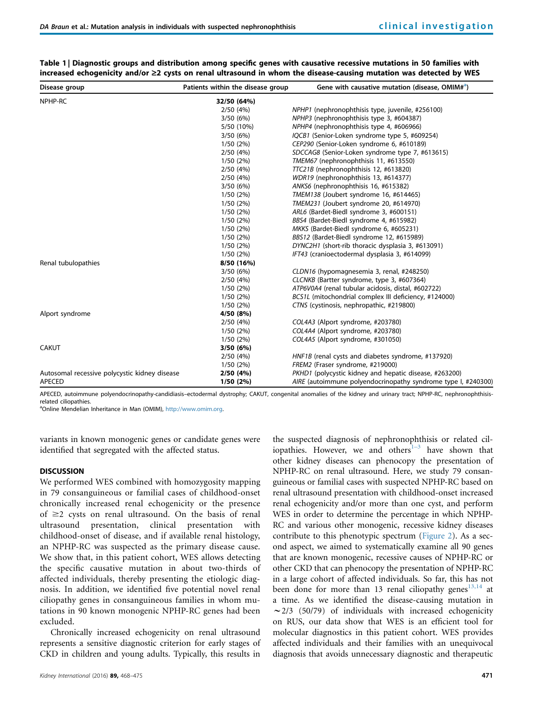| Disease group                                 | Patients within the disease group | Gene with causative mutation (disease, OMIM# <sup>a</sup> )   |
|-----------------------------------------------|-----------------------------------|---------------------------------------------------------------|
| NPHP-RC                                       | 32/50 (64%)                       |                                                               |
|                                               | 2/50(4%)                          | NPHP1 (nephronophthisis type, juvenile, #256100)              |
|                                               | 3/50(6%)                          | NPHP3 (nephronophthisis type 3, #604387)                      |
|                                               | 5/50 (10%)                        | NPHP4 (nephronophthisis type 4, #606966)                      |
|                                               | 3/50(6%)                          | IQCB1 (Senior-Loken syndrome type 5, #609254)                 |
|                                               | 1/50(2%)                          | CEP290 (Senior-Loken syndrome 6, #610189)                     |
|                                               | 2/50(4%)                          | SDCCAG8 (Senior-Loken syndrome type 7, #613615)               |
|                                               | 1/50(2%)                          | TMEM67 (nephronophthisis 11, #613550)                         |
|                                               | 2/50(4%)                          | TTC21B (nephronophthisis 12, #613820)                         |
|                                               | 2/50(4%)                          | WDR19 (nephronophthisis 13, #614377)                          |
|                                               | 3/50 (6%)                         | ANKS6 (nephronophthisis 16, #615382)                          |
|                                               | 1/50(2%)                          | TMEM138 (Joubert syndrome 16, #614465)                        |
|                                               | 1/50(2%)                          | TMEM231 (Joubert syndrome 20, #614970)                        |
|                                               | 1/50(2%)                          | ARL6 (Bardet-Biedl syndrome 3, #600151)                       |
|                                               | 1/50(2%)                          | BBS4 (Bardet-Biedl syndrome 4, #615982)                       |
|                                               | 1/50(2%)                          | MKKS (Bardet-Biedl syndrome 6, #605231)                       |
|                                               | 1/50(2%)                          | BBS12 (Bardet-Biedl syndrome 12, #615989)                     |
|                                               | 1/50(2%)                          | DYNC2H1 (short-rib thoracic dysplasia 3, #613091)             |
|                                               | 1/50(2%)                          | IFT43 (cranioectodermal dysplasia 3, #614099)                 |
| Renal tubulopathies                           | 8/50 (16%)                        |                                                               |
|                                               | 3/50(6%)                          | CLDN16 (hypomagnesemia 3, renal, #248250)                     |
|                                               | 2/50(4%)                          | CLCNKB (Bartter syndrome, type 3, #607364)                    |
|                                               | 1/50(2%)                          | ATP6V0A4 (renal tubular acidosis, distal, #602722)            |
|                                               | 1/50(2%)                          | BCS1L (mitochondrial complex III deficiency, #124000)         |
|                                               | 1/50(2%)                          | CTNS (cystinosis, nephropathic, #219800)                      |
| Alport syndrome                               | 4/50 (8%)                         |                                                               |
|                                               | 2/50(4%)                          | COL4A3 (Alport syndrome, #203780)                             |
|                                               | 1/50(2%)                          | COL4A4 (Alport syndrome, #203780)                             |
|                                               | 1/50(2%)                          | COL4A5 (Alport syndrome, #301050)                             |
| <b>CAKUT</b>                                  | 3/50(6%)                          |                                                               |
|                                               | 2/50(4%)                          | HNF1B (renal cysts and diabetes syndrome, #137920)            |
|                                               | 1/50(2%)                          | FREM2 (Fraser syndrome, #219000)                              |
| Autosomal recessive polycystic kidney disease | 2/50(4%)                          | PKHD1 (polycystic kidney and hepatic disease, #263200)        |
| <b>APECED</b>                                 | 1/50(2%)                          | AIRE (autoimmune polyendocrinopathy syndrome type I, #240300) |

<span id="page-3-0"></span>

| Table 1   Diagnostic groups and distribution among specific genes with causative recessive mutations in 50 families with |
|--------------------------------------------------------------------------------------------------------------------------|
| increased echogenicity and/or ≥2 cysts on renal ultrasound in whom the disease-causing mutation was detected by WES      |

APECED, autoimmune polyendocrinopathy-candidiasis–ectodermal dystrophy; CAKUT, congenital anomalies of the kidney and urinary tract; NPHP-RC, nephronophthisisrelated ciliopathies.

<sup>a</sup>Online Mendelian Inheritance in Man (OMIM), [http://www.omim.org.](http://www.omim.org/)

variants in known monogenic genes or candidate genes were identified that segregated with the affected status.

## **DISCUSSION**

We performed WES combined with homozygosity mapping in 79 consanguineous or familial cases of childhood-onset chronically increased renal echogenicity or the presence of  $\geq$  cysts on renal ultrasound. On the basis of renal ultrasound presentation, clinical presentation with childhood-onset of disease, and if available renal histology, an NPHP-RC was suspected as the primary disease cause. We show that, in this patient cohort, WES allows detecting the specific causative mutation in about two-thirds of affected individuals, thereby presenting the etiologic diagnosis. In addition, we identified five potential novel renal ciliopathy genes in consanguineous families in whom mutations in 90 known monogenic NPHP-RC genes had been excluded.

Chronically increased echogenicity on renal ultrasound represents a sensitive diagnostic criterion for early stages of CKD in children and young adults. Typically, this results in the suspected diagnosis of nephrono[pht](#page-6-0)hisis or related ciliopathies. However, we and others $1-3$  have shown that other kidney diseases can phenocopy the presentation of NPHP-RC on renal ultrasound. Here, we study 79 consanguineous or familial cases with suspected NPHP-RC based on renal ultrasound presentation with childhood-onset increased renal echogenicity and/or more than one cyst, and perform WES in order to determine the percentage in which NPHP-RC and various other monogenic, recessive kidney diseases contribute to this phenotypic spectrum [\(Figure 2\)](#page-4-0). As a second aspect, we aimed to systematically examine all 90 genes that are known monogenic, recessive causes of NPHP-RC or other CKD that can phenocopy the presentation of NPHP-RC in a large cohort of affected individuals. So far, this has not been done for more than 13 renal ciliopathy genes<sup>[13,14](#page-7-0)</sup> at a time. As we identified the disease-causing mutation in  $\sim$  2/3 (50/79) of individuals with increased echogenicity on RUS, our data show that WES is an efficient tool for molecular diagnostics in this patient cohort. WES provides affected individuals and their families with an unequivocal diagnosis that avoids unnecessary diagnostic and therapeutic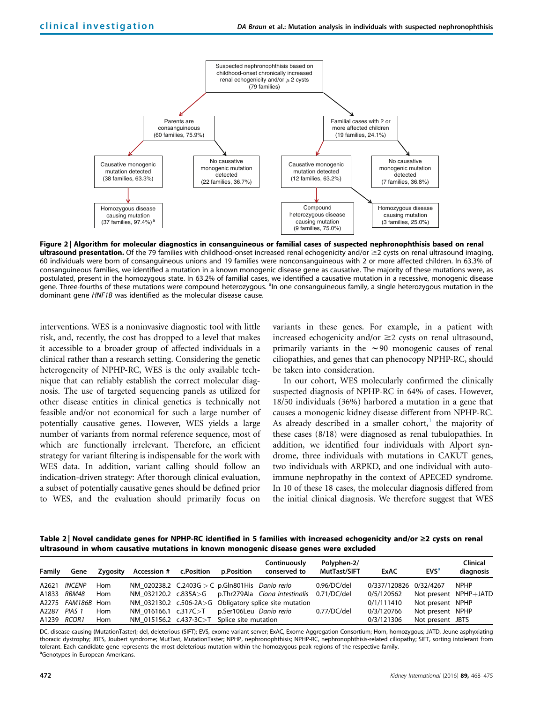<span id="page-4-0"></span>

Figure 2 | Algorithm for molecular diagnostics in consanguineous or familial cases of suspected nephronophthisis based on renal ultrasound presentation. Of the 79 families with childhood-onset increased renal echogenicity and/or  $\geq$  cysts on renal ultrasound imaging, 60 individuals were born of consanguineous unions and 19 families were nonconsanguineous with 2 or more affected children. In 63.3% of consanguineous families, we identified a mutation in a known monogenic disease gene as causative. The majority of these mutations were, as postulated, present in the homozygous state. In 63.2% of familial cases, we identified a causative mutation in a recessive, monogenic disease .<br>gene. Three-fourths of these mutations were compound heterozygous. <sup>a</sup>ln one consanguineous family, a single heterozygous mutation in the dominant gene HNF1B was identified as the molecular disease cause.

interventions. WES is a noninvasive diagnostic tool with little risk, and, recently, the cost has dropped to a level that makes it accessible to a broader group of affected individuals in a clinical rather than a research setting. Considering the genetic heterogeneity of NPHP-RC, WES is the only available technique that can reliably establish the correct molecular diagnosis. The use of targeted sequencing panels as utilized for other disease entities in clinical genetics is technically not feasible and/or not economical for such a large number of potentially causative genes. However, WES yields a large number of variants from normal reference sequence, most of which are functionally irrelevant. Therefore, an efficient strategy for variant filtering is indispensable for the work with WES data. In addition, variant calling should follow an indication-driven strategy: After thorough clinical evaluation, a subset of potentially causative genes should be defined prior to WES, and the evaluation should primarily focus on variants in these genes. For example, in a patient with increased echogenicity and/or  $\geq$  cysts on renal ultrasound, primarily variants in the  $\sim$ 90 monogenic causes of renal ciliopathies, and genes that can phenocopy NPHP-RC, should be taken into consideration.

In our cohort, WES molecularly confirmed the clinically suspected diagnosis of NPHP-RC in 64% of cases. However, 18/50 individuals (36%) harbored a mutation in a gene that causes a monogenic kidney disease different from NPHP-RC. As already described in a smaller cohort, $<sup>1</sup>$  $<sup>1</sup>$  $<sup>1</sup>$  the majority of</sup> these cases (8/18) were diagnosed as renal tubulopathies. In addition, we identified four individuals with Alport syndrome, three individuals with mutations in CAKUT genes, two individuals with ARPKD, and one individual with autoimmune nephropathy in the context of APECED syndrome. In 10 of these 18 cases, the molecular diagnosis differed from the initial clinical diagnosis. We therefore suggest that WES

Table 2 | Novel candidate genes for NPHP-RC identified in 5 families with increased echogenicity and/or  $\geq 2$  cysts on renal ultrasound in whom causative mutations in known monogenic disease genes were excluded

| Family       | Gene                 | Zygosity | Accession # c.Position                                   | p.Position | Continuously<br>conserved to                           | Polyphen-2/<br>MutTast/SIFT | ExAC                   | <b>EVS<sup>a</sup></b> | Clinical<br>diagnosis |
|--------------|----------------------|----------|----------------------------------------------------------|------------|--------------------------------------------------------|-----------------------------|------------------------|------------------------|-----------------------|
| A2621        | <i><b>INCENP</b></i> | Hom      | NM 020238.2 $C.2403G > C$ p.Gln801His <i>Danio rerio</i> |            |                                                        | 0.96/DC/del                 | 0/337/120826 0/32/4267 |                        | <b>NPHP</b>           |
|              | A1833 RBM48          | Hom      |                                                          |            | NM 032120.2 c.835A>G p.Thr279Ala Ciona intestinalis    | 0.71/DC/del                 | 0/5/120562             | Not present NPHP+JATD  |                       |
|              | A2275 FAM186B Hom    |          |                                                          |            | NM 032130.2 c.506-2A>G Obligatory splice site mutation |                             | 0/1/111410             | Not present NPHP       |                       |
| A2287 PIAS 1 |                      | Hom      | NM 016166.1 c.317C>T p.Ser106Leu Danio rerio             |            |                                                        | 0.77/DC/del                 | 0/3/120766             | Not present NPHP       |                       |
| A1239 RCOR1  |                      | Hom      | NM 015156.2 c.437-3C>T Splice site mutation              |            |                                                        |                             | 0/3/121306             | Not present JBTS       |                       |

DC, disease causing (MutationTaster); del, deleterious (SIFT); EVS, exome variant server; ExAC, Exome Aggregation Consortium; Hom, homozygous; JATD, Jeune asphyxiating thoracic dystrophy; JBTS, Joubert syndrome; MutTast, MutationTaster; NPHP, nephronophthisis; NPHP-RC, nephronophthisis-related ciliopathy; SIFT, sorting intolerant from tolerant. Each candidate gene represents the most deleterious mutation within the homozygous peak regions of the respective family. <sup>a</sup>Genotypes in European Americans.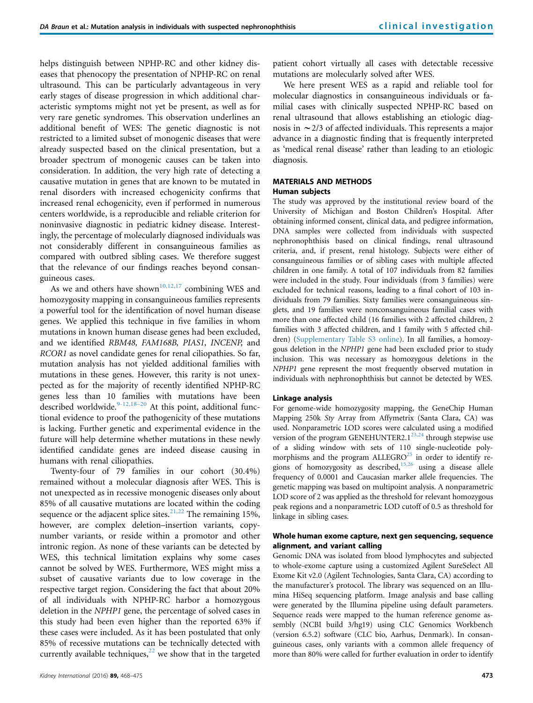helps distinguish between NPHP-RC and other kidney diseases that phenocopy the presentation of NPHP-RC on renal ultrasound. This can be particularly advantageous in very early stages of disease progression in which additional characteristic symptoms might not yet be present, as well as for very rare genetic syndromes. This observation underlines an additional benefit of WES: The genetic diagnostic is not restricted to a limited subset of monogenic diseases that were already suspected based on the clinical presentation, but a broader spectrum of monogenic causes can be taken into consideration. In addition, the very high rate of detecting a causative mutation in genes that are known to be mutated in renal disorders with increased echogenicity confirms that increased renal echogenicity, even if performed in numerous centers worldwide, is a reproducible and reliable criterion for noninvasive diagnostic in pediatric kidney disease. Interestingly, the percentage of molecularly diagnosed individuals was not considerably different in consanguineous families as compared with outbred sibling cases. We therefore suggest that the relevance of our findings reaches beyond consanguineous cases.

As we and others have shown<sup>[10,12,17](#page-7-0)</sup> combining WES and homozygosity mapping in consanguineous families represents a powerful tool for the identification of novel human disease genes. We applied this technique in five families in whom mutations in known human disease genes had been excluded, and we identified RBM48, FAM168B, PIAS1, INCENP, and RCOR1 as novel candidate genes for renal ciliopathies. So far, mutation analysis has not yielded additional families with mutations in these genes. However, this rarity is not unexpected as for the majority of recently identified NPHP-RC genes less than 10 families with mutations have been described worldwide. $9-12,18-20$  $9-12,18-20$  At this point, additional functional evidence to proof the pathogenicity of these mutations is lacking. Further genetic and experimental evidence in the future will help determine whether mutations in these newly identified candidate genes are indeed disease causing in humans with renal ciliopathies.

Twenty-four of 79 families in our cohort (30.4%) remained without a molecular diagnosis after WES. This is not unexpected as in recessive monogenic diseases only about 85% of all causative mutations are located within the coding sequence or the adjacent splice sites.<sup>[21,22](#page-7-0)</sup> The remaining 15%, however, are complex deletion–insertion variants, copynumber variants, or reside within a promotor and other intronic region. As none of these variants can be detected by WES, this technical limitation explains why some cases cannot be solved by WES. Furthermore, WES might miss a subset of causative variants due to low coverage in the respective target region. Considering the fact that about 20% of all individuals with NPHP-RC harbor a homozygous deletion in the NPHP1 gene, the percentage of solved cases in this study had been even higher than the reported 63% if these cases were included. As it has been postulated that only 85% of recessive mutations can be technically detected with currently available techniques, $^{22}$  $^{22}$  $^{22}$  we show that in the targeted patient cohort virtually all cases with detectable recessive mutations are molecularly solved after WES.

We here present WES as a rapid and reliable tool for molecular diagnostics in consanguineous individuals or familial cases with clinically suspected NPHP-RC based on renal ultrasound that allows establishing an etiologic diagnosis in  $\sim$  2/3 of affected individuals. This represents a major advance in a diagnostic finding that is frequently interpreted as 'medical renal disease' rather than leading to an etiologic diagnosis.

## MATERIALS AND METHODS

## Human subjects

The study was approved by the institutional review board of the University of Michigan and Boston Children's Hospital. After obtaining informed consent, clinical data, and pedigree information, DNA samples were collected from individuals with suspected nephronophthisis based on clinical findings, renal ultrasound criteria, and, if present, renal histology. Subjects were either of consanguineous families or of sibling cases with multiple affected children in one family. A total of 107 individuals from 82 families were included in the study. Four individuals (from 3 families) were excluded for technical reasons, leading to a final cohort of 103 individuals from 79 families. Sixty families were consanguineous singlets, and 19 families were nonconsanguineous familial cases with more than one affected child (16 families with 2 affected children, 2 families with 3 affected children, and 1 family with 5 affected children) (Supplementary Table S3 online). In all families, a homozygous deletion in the NPHP1 gene had been excluded prior to study inclusion. This was necessary as homozygous deletions in the NPHP1 gene represent the most frequently observed mutation in individuals with nephronophthisis but cannot be detected by WES.

## Linkage analysis

For genome-wide homozygosity mapping, the GeneChip Human Mapping 250k Sty Array from Affymetrix (Santa Clara, CA) was used. Nonparametric LOD scores were calculated using a modified version of the program GENEHUNTER2.1 $^{23,24}$  $^{23,24}$  $^{23,24}$  through stepwise use of a sliding window with sets of 110 single-nucleotide polymorphisms and the program  $ALLEGRO<sup>25</sup>$  $ALLEGRO<sup>25</sup>$  $ALLEGRO<sup>25</sup>$  in order to identify regions of homozygosity as described,[15,26](#page-7-0) using a disease allele frequency of 0.0001 and Caucasian marker allele frequencies. The genetic mapping was based on multipoint analysis. A nonparametric LOD score of 2 was applied as the threshold for relevant homozygous peak regions and a nonparametric LOD cutoff of 0.5 as threshold for linkage in sibling cases.

## Whole human exome capture, next gen sequencing, sequence alignment, and variant calling

Genomic DNA was isolated from blood lymphocytes and subjected to whole-exome capture using a customized Agilent SureSelect All Exome Kit v2.0 (Agilent Technologies, Santa Clara, CA) according to the manufacturer's protocol. The library was sequenced on an Illumina HiSeq sequencing platform. Image analysis and base calling were generated by the Illumina pipeline using default parameters. Sequence reads were mapped to the human reference genome assembly (NCBI build 3/hg19) using CLC Genomics Workbench (version 6.5.2) software (CLC bio, Aarhus, Denmark). In consanguineous cases, only variants with a common allele frequency of more than 80% were called for further evaluation in order to identify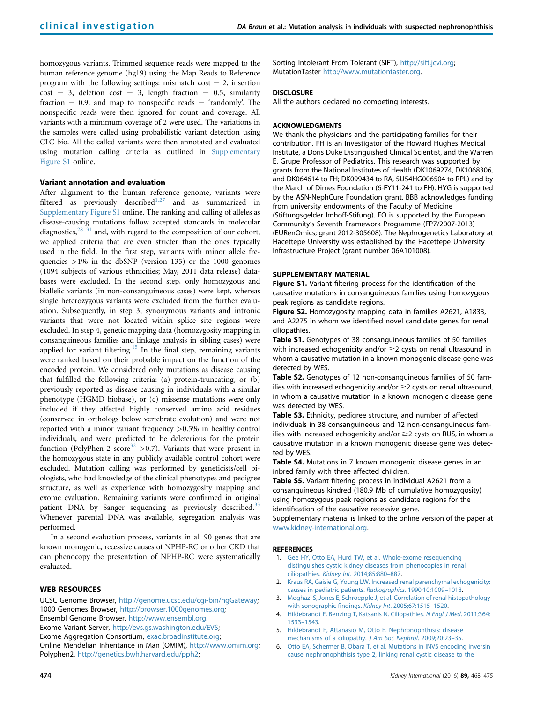<span id="page-6-0"></span>homozygous variants. Trimmed sequence reads were mapped to the human reference genome (hg19) using the Map Reads to Reference program with the following settings: mismatch  $cost = 2$ , insertion  $cost = 3$ , deletion cost = 3, length fraction = 0.5, similarity fraction  $= 0.9$ , and map to nonspecific reads  $=$  'randomly'. The nonspecific reads were then ignored for count and coverage. All variants with a minimum coverage of 2 were used. The variations in the samples were called using probabilistic variant detection using CLC bio. All the called variants were then annotated and evaluated using mutation calling criteria as outlined in Supplementary Figure S1 online.

## Variant annotation and evaluation

After alignment to the human reference genome, variants were filtered as previously described<sup>1,27</sup> and as summarized in Supplementary Figure S1 online. The ranking and calling of alleles as disease-causing mutations follow accepted standards in molecular diagnostics, $28-31$  $28-31$  and, with regard to the composition of our cohort, we applied criteria that are even stricter than the ones typically used in the field. In the first step, variants with minor allele frequencies  $>1\%$  in the dbSNP (version 135) or the 1000 genomes (1094 subjects of various ethnicities; May, 2011 data release) databases were excluded. In the second step, only homozygous and biallelic variants (in non-consanguineous cases) were kept, whereas single heterozygous variants were excluded from the further evaluation. Subsequently, in step 3, synonymous variants and intronic variants that were not located within splice site regions were excluded. In step 4, genetic mapping data (homozygosity mapping in consanguineous families and linkage analysis in sibling cases) were applied for variant filtering.<sup>[15](#page-7-0)</sup> In the final step, remaining variants were ranked based on their probable impact on the function of the encoded protein. We considered only mutations as disease causing that fulfilled the following criteria: (a) protein-truncating, or (b) previously reported as disease causing in individuals with a similar phenotype (HGMD biobase), or (c) missense mutations were only included if they affected highly conserved amino acid residues (conserved in orthologs below vertebrate evolution) and were not reported with a minor variant frequency >0.5% in healthy control individuals, and were predicted to be deleterious for the protein function (PolyPhen-2 score<sup>[32](#page-7-0)</sup> > 0.7). Variants that were present in the homozygous state in any publicly available control cohort were excluded. Mutation calling was performed by geneticists/cell biologists, who had knowledge of the clinical phenotypes and pedigree structure, as well as experience with homozygosity mapping and exome evaluation. Remaining variants were confirmed in original patient DNA by Sanger sequencing as previously described.<sup>[33](#page-7-0)</sup> Whenever parental DNA was available, segregation analysis was performed.

In a second evaluation process, variants in all 90 genes that are known monogenic, recessive causes of NPHP-RC or other CKD that can phenocopy the presentation of NPHP-RC were systematically evaluated.

## WEB RESOURCES

UCSC Genome Browser, [http://genome.ucsc.edu/cgi-bin/hgGateway;](http://genome.ucsc.edu/cgi-bin/hgGateway) 1000 Genomes Browser, [http://browser.1000genomes.org](http://browser.1000genomes.org/); Ensembl Genome Browser, [http://www.ensembl.org;](http://www.ensembl.org/) Exome Variant Server, <http://evs.gs.washington.edu/EVS>; Exome Aggregation Consortium, [exac.broadinstitute.org;](http://exac.broadinstitute.org) Online Mendelian Inheritance in Man (OMIM), <http://www.omim.org>; Polyphen2, <http://genetics.bwh.harvard.edu/pph2>;

Sorting Intolerant From Tolerant (SIFT), [http://sift.jcvi.org;](http://sift.jcvi.org/) MutationTaster <http://www.mutationtaster.org>.

## DISCLOSURE

All the authors declared no competing interests.

## ACKNOWLEDGMENTS

We thank the physicians and the participating families for their contribution. FH is an Investigator of the Howard Hughes Medical Institute, a Doris Duke Distinguished Clinical Scientist, and the Warren E. Grupe Professor of Pediatrics. This research was supported by grants from the National Institutes of Health (DK1069274, DK1068306, and DK064614 to FH; DK099434 to RA, 5U54HG006504 to RPL) and by the March of Dimes Foundation (6-FY11-241 to FH). HYG is supported by the ASN-NephCure Foundation grant. BBB acknowledges funding from university endowments of the Faculty of Medicine (Stiftungsgelder Imhoff-Stifung). FO is supported by the European Community's Seventh Framework Programme (FP7/2007-2013) (EURenOmics; grant 2012-305608). The Nephrogenetics Laboratory at Hacettepe University was established by the Hacettepe University Infrastructure Project (grant number 06A101008).

## SUPPLEMENTARY MATERIAL

Figure S1. Variant filtering process for the identification of the causative mutations in consanguineous families using homozygous peak regions as candidate regions.

Figure S2. Homozygosity mapping data in families A2621, A1833, and A2275 in whom we identified novel candidate genes for renal ciliopathies.

Table S1. Genotypes of 38 consanguineous families of 50 families with increased echogenicity and/or  $\geq$  cysts on renal ultrasound in whom a causative mutation in a known monogenic disease gene was detected by WES.

Table S2. Genotypes of 12 non-consanguineous families of 50 families with increased echogenicity and/or  $\geq$  cysts on renal ultrasound, in whom a causative mutation in a known monogenic disease gene was detected by WES.

Table S3. Ethnicity, pedigree structure, and number of affected individuals in 38 consanguineous and 12 non-consanguineous families with increased echogenicity and/or  $\geq$  cysts on RUS, in whom a causative mutation in a known monogenic disease gene was detected by WES.

Table S4. Mutations in 7 known monogenic disease genes in an inbred family with three affected children.

Table S5. Variant filtering process in individual A2621 from a consanguineous kindred (180.9 Mb of cumulative homozygosity) using homozygous peak regions as candidate regions for the identification of the causative recessive gene.

Supplementary material is linked to the online version of the paper at [www.kidney-international.org.](http://www.kidney-international.org)

#### **REFERENCES**

- 1. [Gee HY, Otto EA, Hurd TW, et al. Whole-exome resequencing](http://refhub.elsevier.com/S0085-2538(15)00040-X/sref1) [distinguishes cystic kidney diseases from phenocopies in renal](http://refhub.elsevier.com/S0085-2538(15)00040-X/sref1) ciliopathies. Kidney Int[. 2014;85:880](http://refhub.elsevier.com/S0085-2538(15)00040-X/sref1)–887.
- 2. [Kraus RA, Gaisie G, Young LW. Increased renal parenchymal echogenicity:](http://refhub.elsevier.com/S0085-2538(15)00040-X/sref2) [causes in pediatric patients.](http://refhub.elsevier.com/S0085-2538(15)00040-X/sref2) Radiographics. 1990;10:1009–1018.
- 3. [Moghazi S, Jones E, Schroepple J, et al. Correlation of renal histopathology](http://refhub.elsevier.com/S0085-2538(15)00040-X/sref3) [with sonographic](http://refhub.elsevier.com/S0085-2538(15)00040-X/sref3) findings. Kidney Int. 2005;67:1515–1520.
- 4. [Hildebrandt F, Benzing T, Katsanis N. Ciliopathies.](http://refhub.elsevier.com/S0085-2538(15)00040-X/sref4) N Engl J Med. 2011;364: 1533–[1543.](http://refhub.elsevier.com/S0085-2538(15)00040-X/sref4)
- 5. [Hildebrandt F, Attanasio M, Otto E. Nephronophthisis: disease](http://refhub.elsevier.com/S0085-2538(15)00040-X/sref5) [mechanisms of a ciliopathy.](http://refhub.elsevier.com/S0085-2538(15)00040-X/sref5) J Am Soc Nephrol. 2009;20:23–35.
- 6. [Otto EA, Schermer B, Obara T, et al. Mutations in INVS encoding inversin](http://refhub.elsevier.com/S0085-2538(15)00040-X/sref6) [cause nephronophthisis type 2, linking renal cystic disease to the](http://refhub.elsevier.com/S0085-2538(15)00040-X/sref6)